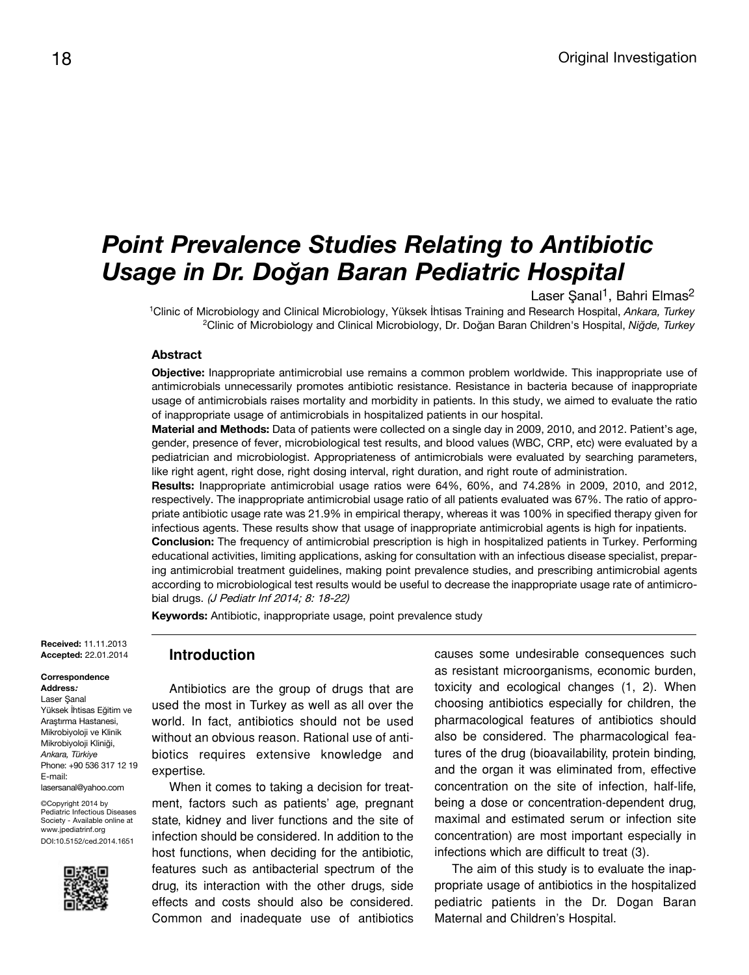# *Point Prevalence Studies Relating to Antibiotic Usage in Dr. Doğan Baran Pediatric Hospital*

Laser Sanal<sup>1</sup>, Bahri Elmas<sup>2</sup>

<sup>1</sup>Clinic of Microbiology and Clinical Microbiology, Yüksek İhtisas Training and Research Hospital, *Ankara, Turkey* <sup>2</sup>Clinic of Microbiology and Clinical Microbiology, Dr. Doğan Baran Children's Hospital, *Niğde, Turkey*

#### **Abstract**

**Objective:** Inappropriate antimicrobial use remains a common problem worldwide. This inappropriate use of antimicrobials unnecessarily promotes antibiotic resistance. Resistance in bacteria because of inappropriate usage of antimicrobials raises mortality and morbidity in patients. In this study, we aimed to evaluate the ratio of inappropriate usage of antimicrobials in hospitalized patients in our hospital.

**Material and Methods:** Data of patients were collected on a single day in 2009, 2010, and 2012. Patient's age, gender, presence of fever, microbiological test results, and blood values (WBC, CRP, etc) were evaluated by a pediatrician and microbiologist. Appropriateness of antimicrobials were evaluated by searching parameters, like right agent, right dose, right dosing interval, right duration, and right route of administration.

**Results:** Inappropriate antimicrobial usage ratios were 64%, 60%, and 74.28% in 2009, 2010, and 2012, respectively. The inappropriate antimicrobial usage ratio of all patients evaluated was 67%. The ratio of appropriate antibiotic usage rate was 21.9% in empirical therapy, whereas it was 100% in specified therapy given for infectious agents. These results show that usage of inappropriate antimicrobial agents is high for inpatients.

**Conclusion:** The frequency of antimicrobial prescription is high in hospitalized patients in Turkey. Performing educational activities, limiting applications, asking for consultation with an infectious disease specialist, preparing antimicrobial treatment guidelines, making point prevalence studies, and prescribing antimicrobial agents according to microbiological test results would be useful to decrease the inappropriate usage rate of antimicrobial drugs. (J Pediatr Inf 2014; 8: 18-22)

**Keywords:** Antibiotic, inappropriate usage, point prevalence study

**Received:** 11.11.2013 **Accepted:** 22.01.2014

**Correspondence** 

**Address:** Laser Şanal Yüksek İhtisas Eğitim ve Araştırma Hastanesi, Mikrobiyoloji ve Klinik Mikrobiyoloji Kliniği, *Ankara, Türkiye* Phone: +90 536 317 12 19 E-mail: lasersanal@yahoo.com

©Copyright 2014 by Pediatric Infectious Diseases Society - Available online at www.jpediatrinf.org DOI:10.5152/ced.2014.1651



## **Introduction**

Antibiotics are the group of drugs that are used the most in Turkey as well as all over the world. In fact, antibiotics should not be used without an obvious reason. Rational use of antibiotics requires extensive knowledge and expertise.

When it comes to taking a decision for treatment, factors such as patients' age, pregnant state, kidney and liver functions and the site of infection should be considered. In addition to the host functions, when deciding for the antibiotic, features such as antibacterial spectrum of the drug, its interaction with the other drugs, side effects and costs should also be considered. Common and inadequate use of antibiotics causes some undesirable consequences such as resistant microorganisms, economic burden, toxicity and ecological changes (1, 2). When choosing antibiotics especially for children, the pharmacological features of antibiotics should also be considered. The pharmacological features of the drug (bioavailability, protein binding, and the organ it was eliminated from, effective concentration on the site of infection, half-life, being a dose or concentration-dependent drug, maximal and estimated serum or infection site concentration) are most important especially in infections which are difficult to treat (3).

The aim of this study is to evaluate the inappropriate usage of antibiotics in the hospitalized pediatric patients in the Dr. Dogan Baran Maternal and Children's Hospital.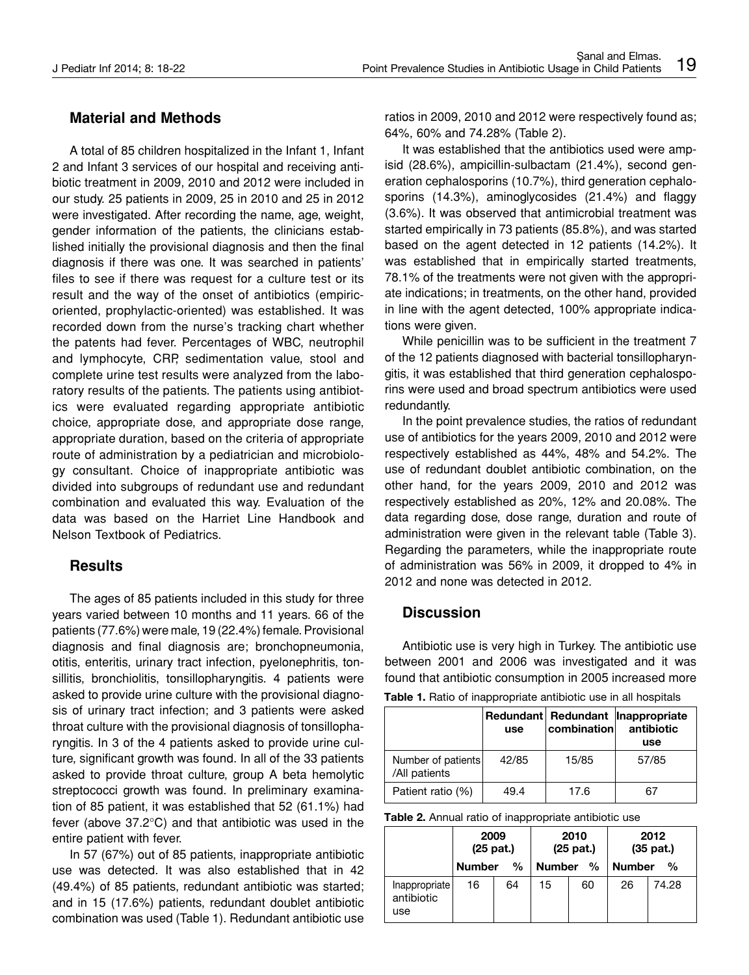## **Material and Methods**

A total of 85 children hospitalized in the Infant 1, Infant 2 and Infant 3 services of our hospital and receiving antibiotic treatment in 2009, 2010 and 2012 were included in our study. 25 patients in 2009, 25 in 2010 and 25 in 2012 were investigated. After recording the name, age, weight, gender information of the patients, the clinicians established initially the provisional diagnosis and then the final diagnosis if there was one. It was searched in patients' files to see if there was request for a culture test or its result and the way of the onset of antibiotics (empiricoriented, prophylactic-oriented) was established. It was recorded down from the nurse's tracking chart whether the patents had fever. Percentages of WBC, neutrophil and lymphocyte, CRP, sedimentation value, stool and complete urine test results were analyzed from the laboratory results of the patients. The patients using antibiotics were evaluated regarding appropriate antibiotic choice, appropriate dose, and appropriate dose range, appropriate duration, based on the criteria of appropriate route of administration by a pediatrician and microbiology consultant. Choice of inappropriate antibiotic was divided into subgroups of redundant use and redundant combination and evaluated this way. Evaluation of the data was based on the Harriet Line Handbook and Nelson Textbook of Pediatrics.

### **Results**

The ages of 85 patients included in this study for three years varied between 10 months and 11 years. 66 of the patients (77.6%) were male, 19 (22.4%) female. Provisional diagnosis and final diagnosis are; bronchopneumonia, otitis, enteritis, urinary tract infection, pyelonephritis, tonsillitis, bronchiolitis, tonsillopharyngitis. 4 patients were asked to provide urine culture with the provisional diagnosis of urinary tract infection; and 3 patients were asked throat culture with the provisional diagnosis of tonsillopharyngitis. In 3 of the 4 patients asked to provide urine culture, significant growth was found. In all of the 33 patients asked to provide throat culture, group A beta hemolytic streptococci growth was found. In preliminary examination of 85 patient, it was established that 52 (61.1%) had fever (above 37.2°C) and that antibiotic was used in the entire patient with fever.

In 57 (67%) out of 85 patients, inappropriate antibiotic use was detected. It was also established that in 42 (49.4%) of 85 patients, redundant antibiotic was started; and in 15 (17.6%) patients, redundant doublet antibiotic combination was used (Table 1). Redundant antibiotic use ratios in 2009, 2010 and 2012 were respectively found as; 64%, 60% and 74.28% (Table 2).

It was established that the antibiotics used were ampisid (28.6%), ampicillin-sulbactam (21.4%), second generation cephalosporins (10.7%), third generation cephalosporins (14.3%), aminoglycosides (21.4%) and flaggy (3.6%). It was observed that antimicrobial treatment was started empirically in 73 patients (85.8%), and was started based on the agent detected in 12 patients (14.2%). It was established that in empirically started treatments, 78.1% of the treatments were not given with the appropriate indications; in treatments, on the other hand, provided in line with the agent detected, 100% appropriate indications were given.

While penicillin was to be sufficient in the treatment 7 of the 12 patients diagnosed with bacterial tonsillopharyngitis, it was established that third generation cephalosporins were used and broad spectrum antibiotics were used redundantly.

In the point prevalence studies, the ratios of redundant use of antibiotics for the years 2009, 2010 and 2012 were respectively established as 44%, 48% and 54.2%. The use of redundant doublet antibiotic combination, on the other hand, for the years 2009, 2010 and 2012 was respectively established as 20%, 12% and 20.08%. The data regarding dose, dose range, duration and route of administration were given in the relevant table (Table 3). Regarding the parameters, while the inappropriate route of administration was 56% in 2009, it dropped to 4% in 2012 and none was detected in 2012.

## **Discussion**

Antibiotic use is very high in Turkey. The antibiotic use between 2001 and 2006 was investigated and it was found that antibiotic consumption in 2005 increased more

| Table 1. Ratio of inappropriate antibiotic use in all hospitals |  |
|-----------------------------------------------------------------|--|
|-----------------------------------------------------------------|--|

|                                     | use   | combination | Redundant Redundant Inappropriate<br>antibiotic<br>use |
|-------------------------------------|-------|-------------|--------------------------------------------------------|
| Number of patients<br>/All patients | 42/85 | 15/85       | 57/85                                                  |
| Patient ratio (%)                   | 49.4  | 17.6        |                                                        |

|                                    | 2009<br>(25 pat.)<br><b>Number</b> | %  | <b>Number</b> | 2010<br>(25 pat.)<br>% | <b>Number</b> | 2012<br>$(35$ pat.)<br>% |
|------------------------------------|------------------------------------|----|---------------|------------------------|---------------|--------------------------|
| Inappropriate<br>antibiotic<br>use | 16                                 | 64 | 15            | 60                     | 26            | 74.28                    |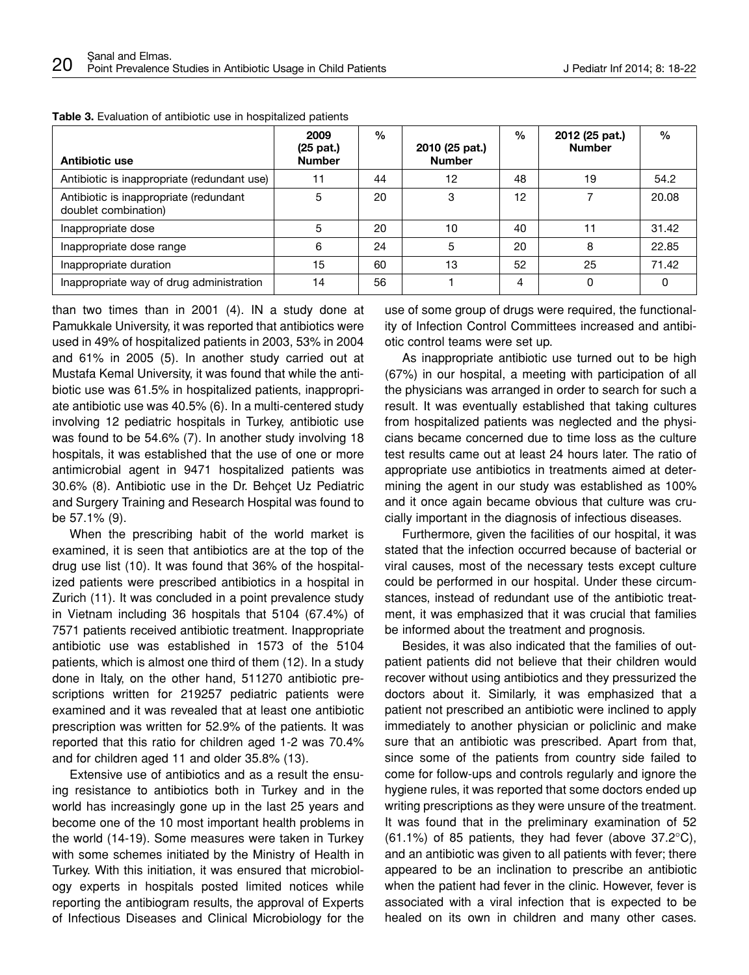| <b>Antibiotic use</b>                                          | 2009<br>$(25$ pat.)<br><b>Number</b> | $\frac{0}{0}$ | 2010 (25 pat.)<br><b>Number</b> | $\%$ | 2012 (25 pat.)<br><b>Number</b> | $\frac{0}{0}$ |
|----------------------------------------------------------------|--------------------------------------|---------------|---------------------------------|------|---------------------------------|---------------|
| Antibiotic is inappropriate (redundant use)                    | 11                                   | 44            | 12                              | 48   | 19                              | 54.2          |
| Antibiotic is inappropriate (redundant<br>doublet combination) | 5                                    | 20            | 3                               | 12   |                                 | 20.08         |
| Inappropriate dose                                             | 5                                    | 20            | 10                              | 40   | 11                              | 31.42         |
| Inappropriate dose range                                       | 6                                    | 24            | 5                               | 20   | 8                               | 22.85         |
| Inappropriate duration                                         | 15                                   | 60            | 13                              | 52   | 25                              | 71.42         |
| Inappropriate way of drug administration                       | 14                                   | 56            |                                 | 4    | $\mathbf 0$                     | 0             |

**Table 3.** Evaluation of antibiotic use in hospitalized patients

than two times than in 2001 (4). IN a study done at Pamukkale University, it was reported that antibiotics were used in 49% of hospitalized patients in 2003, 53% in 2004 and 61% in 2005 (5). In another study carried out at Mustafa Kemal University, it was found that while the antibiotic use was 61.5% in hospitalized patients, inappropriate antibiotic use was 40.5% (6). In a multi-centered study involving 12 pediatric hospitals in Turkey, antibiotic use was found to be 54.6% (7). In another study involving 18 hospitals, it was established that the use of one or more antimicrobial agent in 9471 hospitalized patients was 30.6% (8). Antibiotic use in the Dr. Behçet Uz Pediatric and Surgery Training and Research Hospital was found to be 57.1% (9).

When the prescribing habit of the world market is examined, it is seen that antibiotics are at the top of the drug use list (10). It was found that 36% of the hospitalized patients were prescribed antibiotics in a hospital in Zurich (11). It was concluded in a point prevalence study in Vietnam including 36 hospitals that 5104 (67.4%) of 7571 patients received antibiotic treatment. Inappropriate antibiotic use was established in 1573 of the 5104 patients, which is almost one third of them (12). In a study done in Italy, on the other hand, 511270 antibiotic prescriptions written for 219257 pediatric patients were examined and it was revealed that at least one antibiotic prescription was written for 52.9% of the patients. It was reported that this ratio for children aged 1-2 was 70.4% and for children aged 11 and older 35.8% (13).

Extensive use of antibiotics and as a result the ensuing resistance to antibiotics both in Turkey and in the world has increasingly gone up in the last 25 years and become one of the 10 most important health problems in the world (14-19). Some measures were taken in Turkey with some schemes initiated by the Ministry of Health in Turkey. With this initiation, it was ensured that microbiology experts in hospitals posted limited notices while reporting the antibiogram results, the approval of Experts of Infectious Diseases and Clinical Microbiology for the

use of some group of drugs were required, the functionality of Infection Control Committees increased and antibiotic control teams were set up.

As inappropriate antibiotic use turned out to be high (67%) in our hospital, a meeting with participation of all the physicians was arranged in order to search for such a result. It was eventually established that taking cultures from hospitalized patients was neglected and the physicians became concerned due to time loss as the culture test results came out at least 24 hours later. The ratio of appropriate use antibiotics in treatments aimed at determining the agent in our study was established as 100% and it once again became obvious that culture was crucially important in the diagnosis of infectious diseases.

Furthermore, given the facilities of our hospital, it was stated that the infection occurred because of bacterial or viral causes, most of the necessary tests except culture could be performed in our hospital. Under these circumstances, instead of redundant use of the antibiotic treatment, it was emphasized that it was crucial that families be informed about the treatment and prognosis.

Besides, it was also indicated that the families of outpatient patients did not believe that their children would recover without using antibiotics and they pressurized the doctors about it. Similarly, it was emphasized that a patient not prescribed an antibiotic were inclined to apply immediately to another physician or policlinic and make sure that an antibiotic was prescribed. Apart from that, since some of the patients from country side failed to come for follow-ups and controls regularly and ignore the hygiene rules, it was reported that some doctors ended up writing prescriptions as they were unsure of the treatment. It was found that in the preliminary examination of 52  $(61.1\%)$  of 85 patients, they had fever (above 37.2 $\degree$ C), and an antibiotic was given to all patients with fever; there appeared to be an inclination to prescribe an antibiotic when the patient had fever in the clinic. However, fever is associated with a viral infection that is expected to be healed on its own in children and many other cases.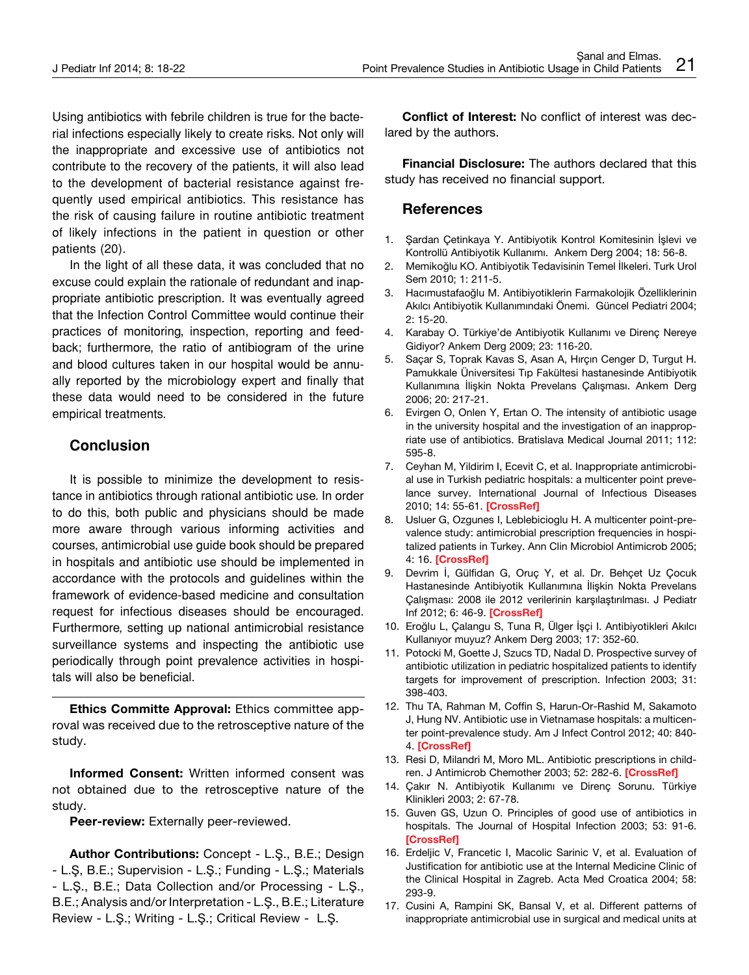Using antibiotics with febrile children is true for the bacterial infections especially likely to create risks. Not only will the inappropriate and excessive use of antibiotics not contribute to the recovery of the patients, it will also lead to the development of bacterial resistance against frequently used empirical antibiotics. This resistance has the risk of causing failure in routine antibiotic treatment of likely infections in the patient in question or other patients (20).

In the light of all these data, it was concluded that no excuse could explain the rationale of redundant and inappropriate antibiotic prescription. It was eventually agreed that the Infection Control Committee would continue their practices of monitoring, inspection, reporting and feedback; furthermore, the ratio of antibiogram of the urine and blood cultures taken in our hospital would be annually reported by the microbiology expert and finally that these data would need to be considered in the future empirical treatments.

## **Conclusion**

It is possible to minimize the development to resistance in antibiotics through rational antibiotic use. In order to do this, both public and physicians should be made more aware through various informing activities and courses, antimicrobial use guide book should be prepared in hospitals and antibiotic use should be implemented in accordance with the protocols and guidelines within the framework of evidence-based medicine and consultation request for infectious diseases should be encouraged. Furthermore, setting up national antimicrobial resistance surveillance systems and inspecting the antibiotic use periodically through point prevalence activities in hospitals will also be beneficial.

**Ethics Committe Approval:** Ethics committee approval was received due to the retrosceptive nature of the study.

**Informed Consent:** Written informed consent was not obtained due to the retrosceptive nature of the study.

Peer-review: Externally peer-reviewed.

**Author Contributions:** Concept - L.Ş., B.E.; Design - L.Ş, B.E.; Supervision - L.Ş.; Funding - L.Ş.; Materials - L.Ş., B.E.; Data Collection and/or Processing - L.Ş., B.E.; Analysis and/or Interpretation - L.Ş., B.E.; Literature Review - L.Ş.; Writing - L.Ş.; Critical Review - L.Ş.

**Conflict of Interest:** No conflict of interest was declared by the authors.

**Financial Disclosure:** The authors declared that this study has received no financial support.

## **References**

- 1. Şardan Çetinkaya Y. Antibiyotik Kontrol Komitesinin İşlevi ve Kontrollü Antibiyotik Kullanımı. Ankem Derg 2004; 18: 56-8.
- 2. Memikoğlu KO. Antibiyotik Tedavisinin Temel İlkeleri. Turk Urol Sem 2010; 1: 211-5.
- 3. Hacımustafaoğlu M. Antibiyotiklerin Farmakolojik Özelliklerinin Akılcı Antibiyotik Kullanımındaki Önemi. Güncel Pediatri 2004;  $2: 15-20.$
- 4. Karabay O. Türkiye'de Antibiyotik Kullanımı ve Direnç Nereye Gidiyor? Ankem Derg 2009; 23: 116-20.
- 5. Saçar S, Toprak Kavas S, Asan A, Hırçın Cenger D, Turgut H. Pamukkale Üniversitesi Tıp Fakültesi hastanesinde Antibiyotik Kullanımına İlişkin Nokta Prevelans Çalışması. Ankem Derg 2006; 20: 217-21.
- 6. Evirgen O, Onlen Y, Ertan O. The intensity of antibiotic usage in the university hospital and the investigation of an inappropriate use of antibiotics. Bratislava Medical Journal 2011; 112: 595-8.
- 7. Ceyhan M, Yildirim I, Ecevit C, et al. Inappropriate antimicrobial use in Turkish pediatric hospitals: a multicenter point prevelance survey. International Journal of Infectious Diseases 2010; 14: 55-61. **[[CrossRef](http://dx.doi.org/10.1016/j.ijid.2009.03.013)]**
- 8. Usluer G, Ozgunes I, Leblebicioglu H. A multicenter point-prevalence study: antimicrobial prescription frequencies in hospitalized patients in Turkey. Ann Clin Microbiol Antimicrob 2005; 4: 16. **[\[CrossRef\]](http://dx.doi.org/10.1186/1476-0711-4-16)**
- 9. Devrim İ, Gülfidan G, Oruç Y, et al. Dr. Behçet Uz Çocuk Hastanesinde Antibiyotik Kullanımına İlişkin Nokta Prevelans Çalışması: 2008 ile 2012 verilerinin karşılaştırılması. J Pediatr Inf 2012; 6: 46-9. **[\[CrossRef\]](http://dx.doi.org/10.5152/ced.2012.11)**
- 10. Eroğlu L, Çalangu S, Tuna R, Ülger İşçi I. Antibiyotikleri Akılcı Kullanıyor muyuz? Ankem Derg 2003; 17: 352-60.
- 11. Potocki M, Goette J, Szucs TD, Nadal D. Prospective survey of antibiotic utilization in pediatric hospitalized patients to identify targets for improvement of prescription. Infection 2003; 31: 398-403.
- 12. Thu TA, Rahman M, Coffin S, Harun-Or-Rashid M, Sakamoto J, Hung NV. Antibiotic use in Vietnamase hospitals: a multicenter point-prevalence study. Am J Infect Control 2012; 40: 840- 4. **[[CrossRef\]](http://dx.doi.org/10.1016/j.ajic.2011.10.020)**
- 13. Resi D, Milandri M, Moro ML. Antibiotic prescriptions in children. J Antimicrob Chemother 2003; 52: 282-6. **[\[CrossRef](http://dx.doi.org/10.1093/jac/dkg302)]**
- 14. Çakır N. Antibiyotik Kullanımı ve Direnç Sorunu. Türkiye Klinikleri 2003; 2: 67-78.
- 15. Guven GS, Uzun O. Principles of good use of antibiotics in hospitals. The Journal of Hospital Infection 2003; 53: 91-6. **[\[CrossRef\]](http://dx.doi.org/10.1053/jhin.2002.1353)**
- 16. Erdeljic V, Francetic I, Macolic Sarinic V, et al. Evaluation of Justification for antibiotic use at the Internal Medicine Clinic of the Clinical Hospital in Zagreb. Acta Med Croatica 2004; 58: 293-9.
- 17. Cusini A, Rampini SK, Bansal V, et al. Different patterns of inappropriate antimicrobial use in surgical and medical units at